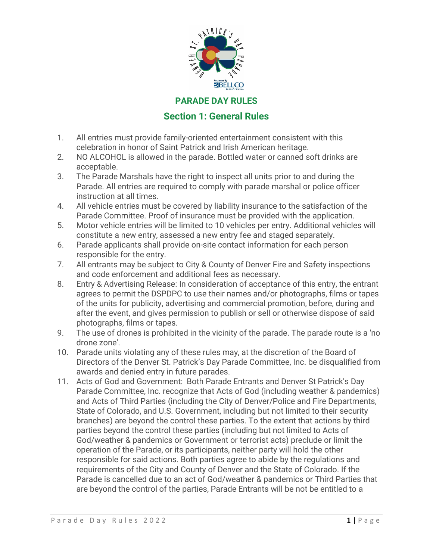

#### **PARADE DAY RULES**

### **Section 1: General Rules**

- 1. All entries must provide family-oriented entertainment consistent with this celebration in honor of Saint Patrick and Irish American heritage.
- 2. NO ALCOHOL is allowed in the parade. Bottled water or canned soft drinks are acceptable.
- 3. The Parade Marshals have the right to inspect all units prior to and during the Parade. All entries are required to comply with parade marshal or police officer instruction at all times.
- 4. All vehicle entries must be covered by liability insurance to the satisfaction of the Parade Committee. Proof of insurance must be provided with the application.
- 5. Motor vehicle entries will be limited to 10 vehicles per entry. Additional vehicles will constitute a new entry, assessed a new entry fee and staged separately.
- 6. Parade applicants shall provide on-site contact information for each person responsible for the entry.
- 7. All entrants may be subject to City & County of Denver Fire and Safety inspections and code enforcement and additional fees as necessary.
- 8. Entry & Advertising Release: In consideration of acceptance of this entry, the entrant agrees to permit the DSPDPC to use their names and/or photographs, films or tapes of the units for publicity, advertising and commercial promotion, before, during and after the event, and gives permission to publish or sell or otherwise dispose of said photographs, films or tapes.
- 9. The use of drones is prohibited in the vicinity of the parade. The parade route is a 'no drone zone'.
- 10. Parade units violating any of these rules may, at the discretion of the Board of Directors of the Denver St. Patrick's Day Parade Committee, Inc. be disqualified from awards and denied entry in future parades.
- 11. Acts of God and Government: Both Parade Entrants and Denver St Patrick's Day Parade Committee, Inc. recognize that Acts of God (including weather & pandemics) and Acts of Third Parties (including the City of Denver/Police and Fire Departments, State of Colorado, and U.S. Government, including but not limited to their security branches) are beyond the control these parties. To the extent that actions by third parties beyond the control these parties (including but not limited to Acts of God/weather & pandemics or Government or terrorist acts) preclude or limit the operation of the Parade, or its participants, neither party will hold the other responsible for said actions. Both parties agree to abide by the regulations and requirements of the City and County of Denver and the State of Colorado. If the Parade is cancelled due to an act of God/weather & pandemics or Third Parties that are beyond the control of the parties, Parade Entrants will be not be entitled to a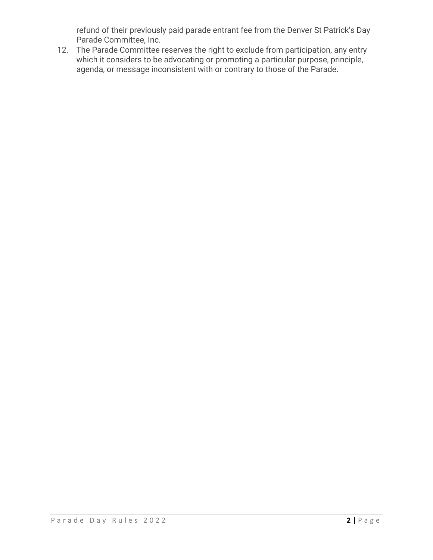refund of their previously paid parade entrant fee from the Denver St Patrick's Day Parade Committee, Inc.

12. The Parade Committee reserves the right to exclude from participation, any entry which it considers to be advocating or promoting a particular purpose, principle, agenda, or message inconsistent with or contrary to those of the Parade.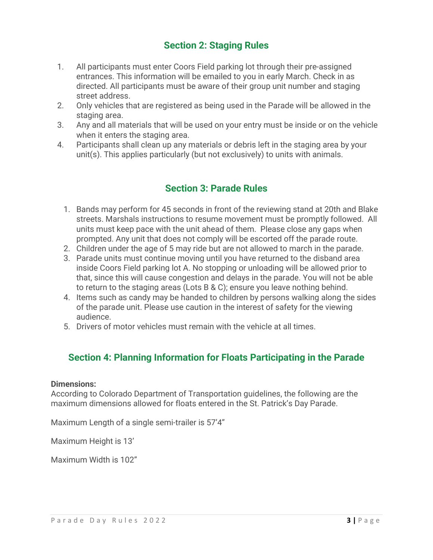# **Section 2: Staging Rules**

- 1. All participants must enter Coors Field parking lot through their pre-assigned entrances. This information will be emailed to you in early March. Check in as directed. All participants must be aware of their group unit number and staging street address.
- 2. Only vehicles that are registered as being used in the Parade will be allowed in the staging area.
- 3. Any and all materials that will be used on your entry must be inside or on the vehicle when it enters the staging area.
- 4. Participants shall clean up any materials or debris left in the staging area by your unit(s). This applies particularly (but not exclusively) to units with animals.

## **Section 3: Parade Rules**

- 1. Bands may perform for 45 seconds in front of the reviewing stand at 20th and Blake streets. Marshals instructions to resume movement must be promptly followed. All units must keep pace with the unit ahead of them. Please close any gaps when prompted. Any unit that does not comply will be escorted off the parade route.
- 2. Children under the age of 5 may ride but are not allowed to march in the parade.
- 3. Parade units must continue moving until you have returned to the disband area inside Coors Field parking lot A. No stopping or unloading will be allowed prior to that, since this will cause congestion and delays in the parade. You will not be able to return to the staging areas (Lots B & C); ensure you leave nothing behind.
- 4. Items such as candy may be handed to children by persons walking along the sides of the parade unit. Please use caution in the interest of safety for the viewing audience.
- 5. Drivers of motor vehicles must remain with the vehicle at all times.

# **Section 4: Planning Information for Floats Participating in the Parade**

#### **Dimensions:**

According to Colorado Department of Transportation guidelines, the following are the maximum dimensions allowed for floats entered in the St. Patrick's Day Parade.

Maximum Length of a single semi-trailer is 57'4"

Maximum Height is 13'

Maximum Width is 102"